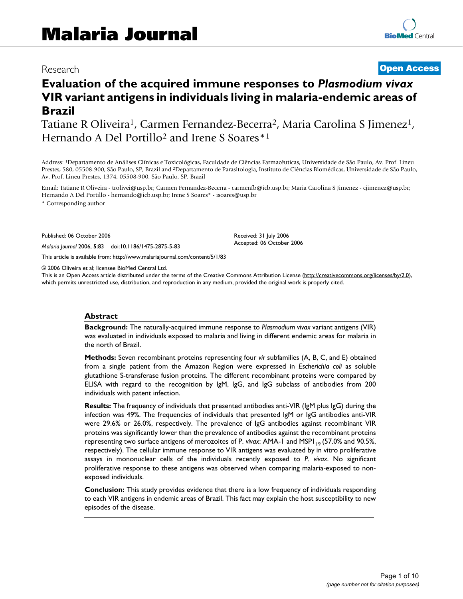# Research **[Open Access](http://www.biomedcentral.com/info/about/charter/)**

# **Evaluation of the acquired immune responses to** *Plasmodium vivax*  **VIR variant antigens in individuals living in malaria-endemic areas of Brazil**

Tatiane R Oliveira<sup>1</sup>, Carmen Fernandez-Becerra<sup>2</sup>, Maria Carolina S Jimenez<sup>1</sup>, Hernando A Del Portillo2 and Irene S Soares\*1

Address: 1Departamento de Análises Clínicas e Toxicológicas, Faculdade de Ciências Farmacêuticas, Universidade de São Paulo, Av. Prof. Lineu Prestes, 580, 05508-900, São Paulo, SP, Brazil and 2Departamento de Parasitologia, Instituto de Ciências Biomédicas, Universidade de São Paulo, Av. Prof. Lineu Prestes, 1374, 05508-900, São Paulo, SP, Brazil

Email: Tatiane R Oliveira - trolivei@usp.br; Carmen Fernandez-Becerra - carmenfb@icb.usp.br; Maria Carolina S Jimenez - cjimenez@usp.br; Hernando A Del Portillo - hernando@icb.usp.br; Irene S Soares\* - isoares@usp.br

\* Corresponding author

Published: 06 October 2006

*Malaria Journal* 2006, **5**:83 doi:10.1186/1475-2875-5-83

[This article is available from: http://www.malariajournal.com/content/5/1/83](http://www.malariajournal.com/content/5/1/83)

© 2006 Oliveira et al; licensee BioMed Central Ltd.

This is an Open Access article distributed under the terms of the Creative Commons Attribution License [\(http://creativecommons.org/licenses/by/2.0\)](http://creativecommons.org/licenses/by/2.0), which permits unrestricted use, distribution, and reproduction in any medium, provided the original work is properly cited.

Received: 31 July 2006 Accepted: 06 October 2006

#### **Abstract**

**Background:** The naturally-acquired immune response to *Plasmodium vivax* variant antigens (VIR) was evaluated in individuals exposed to malaria and living in different endemic areas for malaria in the north of Brazil.

**Methods:** Seven recombinant proteins representing four *vir* subfamilies (A, B, C, and E) obtained from a single patient from the Amazon Region were expressed in *Escherichia coli* as soluble glutathione S-transferase fusion proteins. The different recombinant proteins were compared by ELISA with regard to the recognition by IgM, IgG, and IgG subclass of antibodies from 200 individuals with patent infection.

**Results:** The frequency of individuals that presented antibodies anti-VIR (IgM plus IgG) during the infection was 49%. The frequencies of individuals that presented IgM or IgG antibodies anti-VIR were 29.6% or 26.0%, respectively. The prevalence of IgG antibodies against recombinant VIR proteins was significantly lower than the prevalence of antibodies against the recombinant proteins representing two surface antigens of merozoites of P. *vivax*: AMA-1 and MSP1<sub>19</sub> (57.0% and 90.5%, respectively). The cellular immune response to VIR antigens was evaluated by in vitro proliferative assays in mononuclear cells of the individuals recently exposed to *P. vivax*. No significant proliferative response to these antigens was observed when comparing malaria-exposed to nonexposed individuals.

**Conclusion:** This study provides evidence that there is a low frequency of individuals responding to each VIR antigens in endemic areas of Brazil. This fact may explain the host susceptibility to new episodes of the disease.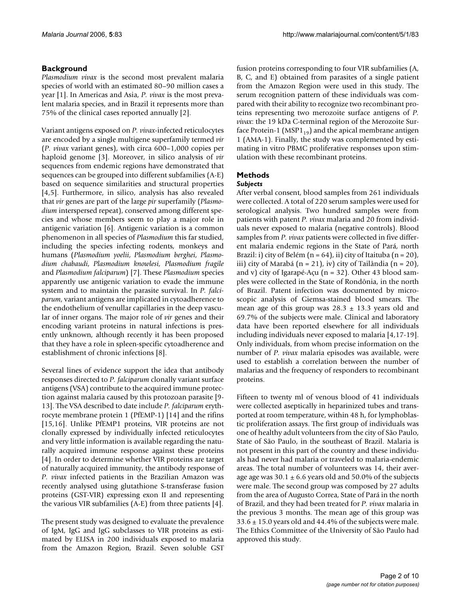# **Background**

*Plasmodium vivax* is the second most prevalent malaria species of world with an estimated 80–90 million cases a year [[1\]](#page-8-0). In Americas and Asia, *P. vivax* is the most prevalent malaria species, and in Brazil it represents more than 75% of the clinical cases reported annually [2].

Variant antigens exposed on *P. vivax*-infected reticulocytes are encoded by a single multigene superfamily termed *vir* (*P. vivax* variant genes), with circa 600–1,000 copies per haploid genome [3]. Moreover, in silico analysis of *vir* sequences from endemic regions have demonstrated that sequences can be grouped into different subfamilies (A-E) based on sequence similarities and structural properties [4,5]. Furthermore, in silico, analysis has also revealed that *vir* genes are part of the large *pir* superfamily (*Plasmodium* interspersed repeat), conserved among different species and whose members seem to play a major role in antigenic variation [6]. Antigenic variation is a common phenomenon in all species of *Plasmodium* this far studied, including the species infecting rodents, monkeys and humans (*Plasmodium yoelii*, *Plasmodium berghei*, *Plasmodium chabaudi*, *Plasmodium knowlesi, Plasmodium fragile* and *Plasmodium falciparum*) [7]. These *Plasmodium* species apparently use antigenic variation to evade the immune system and to maintain the parasite survival. In *P. falciparum*, variant antigens are implicated in cytoadherence to the endothelium of venullar capillaries in the deep vascular of inner organs. The major role of *vir* genes and their encoding variant proteins in natural infections is presently unknown, although recently it has been proposed that they have a role in spleen-specific cytoadherence and establishment of chronic infections [8].

Several lines of evidence support the idea that antibody responses directed to *P. falciparum* clonally variant surface antigens (VSA) contribute to the acquired immune protection against malaria caused by this protozoan parasite [9- 13]. The VSA described to date include *P. falciparum* erythrocyte membrane protein 1 (PfEMP-1) [14] and the rifins [15,16]. Unlike PfEMP1 proteins, VIR proteins are not clonally expressed by individually infected reticulocytes and very little information is available regarding the naturally acquired immune response against these proteins [4]. In order to determine whether VIR proteins are target of naturally acquired immunity, the antibody response of *P. vivax* infected patients in the Brazilian Amazon was recently analysed using glutathione S-transferase fusion proteins (GST-VIR) expressing exon II and representing the various VIR subfamilies (A-E) from three patients [4].

The present study was designed to evaluate the prevalence of IgM, IgG and IgG subclasses to VIR proteins as estimated by ELISA in 200 individuals exposed to malaria from the Amazon Region, Brazil. Seven soluble GST fusion proteins corresponding to four VIR subfamilies (A, B, C, and E) obtained from parasites of a single patient from the Amazon Region were used in this study. The serum recognition pattern of these individuals was compared with their ability to recognize two recombinant proteins representing two merozoite surface antigens of *P. vivax*: the 19 kDa C-terminal region of the Merozoite Surface Protein-1 (MSP $1_{19}$ ) and the apical membrane antigen 1 (AMA-1). Finally, the study was complemented by estimating in vitro PBMC proliferative responses upon stimulation with these recombinant proteins.

# **Methods**

#### *Subjects*

After verbal consent, blood samples from 261 individuals were collected. A total of 220 serum samples were used for serological analysis. Two hundred samples were from patients with patent *P. vivax* malaria and 20 from individuals never exposed to malaria (negative controls). Blood samples from *P. vivax* patients were collected in five different malaria endemic regions in the State of Pará, north Brazil: i) city of Belém  $(n = 64)$ , ii) city of Itaituba  $(n = 20)$ , iii) city of Marabá (n = 21), iv) city of Tailândia (n = 20), and v) city of Igarapé-Açu (n = 32). Other 43 blood samples were collected in the State of Rondônia, in the north of Brazil. Patent infection was documented by microscopic analysis of Giemsa-stained blood smears. The mean age of this group was  $28.3 \pm 13.3$  years old and 69.7% of the subjects were male. Clinical and laboratory data have been reported elsewhere for all individuals including individuals never exposed to malaria [4[,17](#page-9-0)-19]. Only individuals, from whom precise information on the number of *P. vivax* malaria episodes was available, were used to establish a correlation between the number of malarias and the frequency of responders to recombinant proteins.

Fifteen to twenty ml of venous blood of 41 individuals were collected aseptically in heparinized tubes and transported at room temperature, within 48 h, for lymphoblastic proliferation assays. The first group of individuals was one of healthy adult volunteers from the city of São Paulo, State of São Paulo, in the southeast of Brazil. Malaria is not present in this part of the country and these individuals had never had malaria or traveled to malaria-endemic areas. The total number of volunteers was 14, their average age was  $30.1 \pm 6.6$  years old and 50.0% of the subjects were male. The second group was composed by 27 adults from the area of Augusto Correa, State of Pará in the north of Brazil, and they had been treated for *P. vivax* malaria in the previous 3 months. The mean age of this group was  $33.6 \pm 15.0$  years old and 44.4% of the subjects were male. The Ethics Committee of the University of São Paulo had approved this study.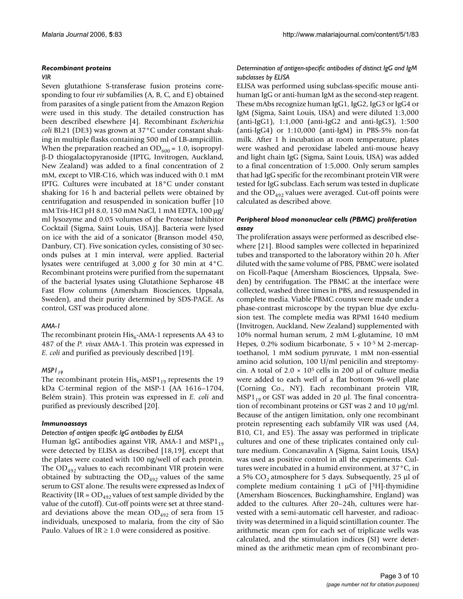#### *Recombinant proteins*

#### *VIR*

Seven glutathione S-transferase fusion proteins corresponding to four *vir* subfamilies (A, B, C, and E) obtained from parasites of a single patient from the Amazon Region were used in this study. The detailed construction has been described elsewhere [4]. Recombinant *Escherichia coli* BL21 (DE3) was grown at 37°C under constant shaking in multiple flasks containing 500 ml of LB-ampicillin. When the preparation reached an  $OD_{600} = 1.0$ , isopropylβ-D thiogalactopyranoside (IPTG, Invitrogen, Auckland, New Zealand) was added to a final concentration of 2 mM, except to VIR-C16, which was induced with 0.1 mM IPTG. Cultures were incubated at 18°C under constant shaking for 16 h and bacterial pellets were obtained by centrifugation and resuspended in sonication buffer [10 mM Tris-HCl pH 8.0, 150 mM NaCl, 1 mM EDTA, 100 µg/ ml lysozyme and 0.05 volumes of the Protease Inhibitor Cocktail (Sigma, Saint Louis, USA)]. Bacteria were lysed on ice with the aid of a sonicator (Branson model 450, Danbury, CT). Five sonication cycles, consisting of 30 seconds pulses at 1 min interval, were applied. Bacterial lysates were centrifuged at 3,000 *g* for 30 min at 4°C. Recombinant proteins were purified from the supernatant of the bacterial lysates using Glutathione Sepharose 4B Fast Flow columns (Amersham Biosciences, Uppsala, Sweden), and their purity determined by SDS-PAGE. As control, GST was produced alone.

#### *AMA-1*

The recombinant protein  $His<sub>6</sub>$ -AMA-1 represents AA 43 to 487 of the *P. vivax* AMA-1. This protein was expressed in *E. coli* and purified as previously described [19].

#### *MSP1*<sub>19</sub>

The recombinant protein  $His<sub>6</sub> - MSP1<sub>19</sub>$  represents the 19 kDa C-terminal region of the MSP-1 (AA 1616–1704, Belém strain). This protein was expressed in *E. coli* and purified as previously described [20].

#### *Immunoassays*

#### *Detection of antigen specific IgG antibodies by ELISA*

Human IgG antibodies against VIR, AMA-1 and MSP1<sub>19</sub> were detected by ELISA as described [18,19], except that the plates were coated with 100 ng/well of each protein. The  $OD_{492}$  values to each recombinant VIR protein were obtained by subtracting the  $OD_{492}$  values of the same serum to GST alone. The results were expressed as Index of Reactivity (IR =  $OD_{492}$  values of test sample divided by the value of the cutoff). Cut-off points were set at three standard deviations above the mean  $OD_{492}$  of sera from 15 individuals, unexposed to malaria, from the city of São Paulo. Values of  $IR \geq 1.0$  were considered as positive.

#### *Determination of antigen-specific antibodies of distinct IgG and IgM subclasses by ELISA*

ELISA was performed using subclass-specific mouse antihuman IgG or anti-human IgM as the second-step reagent. These mAbs recognize human IgG1, IgG2, IgG3 or IgG4 or IgM (Sigma, Saint Louis, USA) and were diluted 1:3,000 (anti-IgG1), 1:1,000 (anti-IgG2 and anti-IgG3), 1:500 (anti-IgG4) or 1:10,000 (anti-IgM) in PBS-5% non-fat milk. After 1 h incubation at room temperature, plates were washed and peroxidase labeled anti-mouse heavy and light chain IgG (Sigma, Saint Louis, USA) was added to a final concentration of 1:5,000. Only serum samples that had IgG specific for the recombinant protein VIR were tested for IgG subclass. Each serum was tested in duplicate and the  $OD_{492}$  values were averaged. Cut-off points were calculated as described above.

#### *Peripheral blood mononuclear cells (PBMC) proliferation assay*

The proliferation assays were performed as described elsewhere [21]. Blood samples were collected in heparinized tubes and transported to the laboratory within 20 h. After diluted with the same volume of PBS, PBMC were isolated on Ficoll-Paque (Amersham Biosciences, Uppsala, Sweden) by centrifugation. The PBMC at the interface were collected, washed three times in PBS, and ressuspended in complete media. Viable PBMC counts were made under a phase-contrast microscope by the trypan blue dye exclusion test. The complete media was RPMI 1640 medium (Invitrogen, Auckland, New Zealand) supplemented with 10% normal human serum, 2 mM L-glutamine, 10 mM Hepes, 0.2% sodium bicarbonate,  $5 \times 10^{-5}$  M 2-mercaptoethanol, 1 mM sodium pyruvate, 1 mM non-essential amino acid solution, 100 U/ml penicilin and streptomycin. A total of  $2.0 \times 10^5$  cells in 200 µl of culture media were added to each well of a flat bottom 96-well plate (Corning Co., NY). Each recombinant protein VIR, MSP1<sub>19</sub> or GST was added in 20  $\mu$ l. The final concentration of recombinant proteins or GST was 2 and 10 µg/ml. Because of the antigen limitation, only one recombinant protein representing each subfamily VIR was used (A4, B10, C1, and E5). The assay was performed in triplicate cultures and one of these triplicates contained only culture medium. Concanavalin A (Sigma, Saint Louis, USA) was used as positive control in all the experiments. Cultures were incubated in a humid environment, at 37°C, in a 5%  $CO<sub>2</sub>$  atmosphere for 5 days. Subsequently, 25 µl of complete medium containing 1  $\mu$ Ci of [3H]-thymidine (Amersham Bioscences, Buckinghamshire, England) was added to the cultures. After 20–24h, cultures were harvested with a semi-automatic cell harvester, and radioactivity was determined in a liquid scintillation counter. The arithmetic mean cpm for each set of triplicate wells was calculated, and the stimulation indices (SI) were determined as the arithmetic mean cpm of recombinant pro-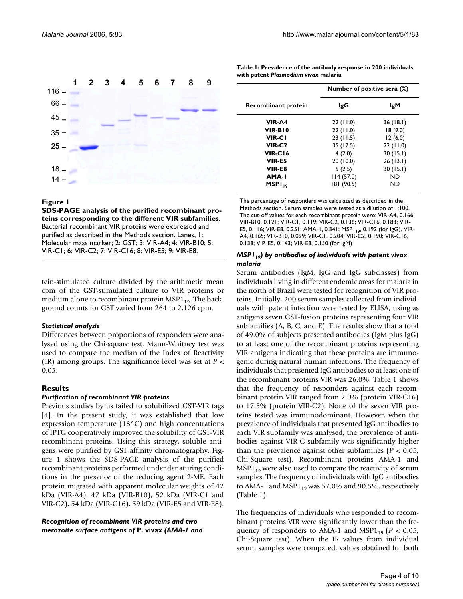

Figure 1

**SDS-PAGE analysis of the purified recombinant proteins corresponding to the different VIR subfamilies**. Bacterial recombinant VIR proteins were expressed and purified as described in the Methods section. Lanes, 1: Molecular mass marker; 2: GST; 3: VIR-A4; 4: VIR-B10; 5: VIR-C1; 6: VIR-C2; 7: VIR-C16; 8: VIR-E5; 9: VIR-E8.

tein-stimulated culture divided by the arithmetic mean cpm of the GST-stimulated culture to VIR proteins or medium alone to recombinant protein  $MSP1_{19}$ . The background counts for GST varied from 264 to 2,126 cpm.

#### *Statistical analysis*

Differences between proportions of responders were analysed using the Chi-square test. Mann-Whitney test was used to compare the median of the Index of Reactivity (IR) among groups. The significance level was set at *P* < 0.05.

#### **Results**

#### *Purification of recombinant VIR proteins*

Previous studies by us failed to solubilized GST-VIR tags [4]. In the present study, it was established that low expression temperature (18°C) and high concentrations of IPTG cooperatively improved the solubility of GST-VIR recombinant proteins. Using this strategy, soluble antigens were purified by GST affinity chromatography. Figure 1 shows the SDS-PAGE analysis of the purified recombinant proteins performed under denaturing conditions in the presence of the reducing agent 2-ME. Each protein migrated with apparent molecular weights of 42 kDa (VIR-A4), 47 kDa (VIR-B10), 52 kDa (VIR-C1 and VIR-C2), 54 kDa (VIR-C16), 59 kDa (VIR-E5 and VIR-E8).

*Recognition of recombinant VIR proteins and two merozoite surface antigens of* **P. vivax** *(AMA-1 and* 

| Table 1: Prevalence of the antibody response in 200 individuals |
|-----------------------------------------------------------------|
| with patent Plasmodium vivax malaria                            |

|                     | Number of positive sera (%) |           |  |
|---------------------|-----------------------------|-----------|--|
| Recombinant protein | lgG                         | IgM       |  |
| VIR-A4              | 22(11.0)                    | 36(18.1)  |  |
| VIR-BIO             | 22(11.0)                    | 18(9.0)   |  |
| <b>VIR-CI</b>       | 23(11.5)                    | 12(6.0)   |  |
| VIR-C <sub>2</sub>  | 35 (17.5)                   | 22(11.0)  |  |
| VIR-C16             | 4(2.0)                      | 30(15.1)  |  |
| VIR-E5              | 20 (10.0)                   | 26(13.1)  |  |
| VIR-E8              | 5(2.5)                      | 30(15.1)  |  |
| AMA-I               | 114(57.0)                   | ND.       |  |
| MSPI <sub>19</sub>  | 181 (90.5)                  | <b>ND</b> |  |

The percentage of responders was calculated as described in the Methods section. Serum samples were tested at a dilution of 1:100. The cut-off values for each recombinant protein were: VIR-A4, 0.166; VIR-B10, 0.121; VIR-C1, 0.119; VIR-C2, 0.136; VIR-C16, 0.183; VIR-E5, 0.116; VIR-E8, 0.251; AMA-1, 0.341; MSP1<sub>19</sub>, 0.192 (for IgG). VIR-A4, 0.165; VIR-B10, 0.099; VIR-C1, 0.204; VIR-C2, 0.190; VIR-C16, 0.138; VIR-E5, 0.143; VIR-E8, 0.150 (for IgM)

#### *MSP1<sub>19</sub>) by antibodies of individuals with patent vivax malaria*

Serum antibodies (IgM, IgG and IgG subclasses) from individuals living in different endemic areas for malaria in the north of Brazil were tested for recognition of VIR proteins. Initially, 200 serum samples collected from individuals with patent infection were tested by ELISA, using as antigens seven GST-fusion proteins representing four VIR subfamilies (A, B, C, and E). The results show that a total of 49.0% of subjects presented antibodies (IgM plus IgG) to at least one of the recombinant proteins representing VIR antigens indicating that these proteins are immunogenic during natural human infections. The frequency of individuals that presented IgG antibodies to at least one of the recombinant proteins VIR was 26.0%. Table 1 shows that the frequency of responders against each recombinant protein VIR ranged from 2.0% (protein VIR-C16) to 17.5% (protein VIR-C2). None of the seven VIR proteins tested was immunodominant. However, when the prevalence of individuals that presented IgG antibodies to each VIR subfamily was analysed, the prevalence of antibodies against VIR-C subfamily was significantly higher than the prevalence against other subfamilies (*P* < 0.05, Chi-Square test). Recombinant proteins AMA-1 and  $MSP1_{19}$  were also used to compare the reactivity of serum samples. The frequency of individuals with IgG antibodies to AMA-1 and MSP1 $_{19}$  was 57.0% and 90.5%, respectively (Table 1).

The frequencies of individuals who responded to recombinant proteins VIR were significantly lower than the frequency of responders to AMA-1 and MSP1<sub>19</sub> ( $P < 0.05$ , Chi-Square test). When the IR values from individual serum samples were compared, values obtained for both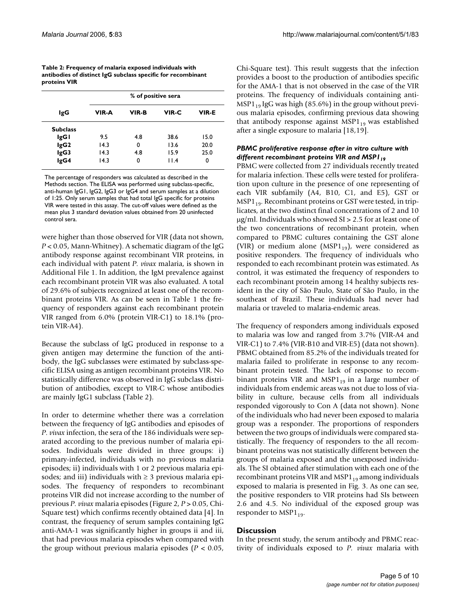| Table 2: Frequency of malaria exposed individuals with       |
|--------------------------------------------------------------|
| antibodies of distinct IgG subclass specific for recombinant |
| proteins VIR                                                 |

|                 | % of positive sera |       |       |              |
|-----------------|--------------------|-------|-------|--------------|
| lgG             | <b>VIR-A</b>       | VIR-B | VIR-C | <b>VIR-E</b> |
| <b>Subclass</b> |                    |       |       |              |
| IgGI            | 9.5                | 4.8   | 38.6  | 15.0         |
| lgG2            | 14.3               | 0     | 13.6  | 20.0         |
| lgG3            | 14.3               | 4.8   | 15.9  | 25.0         |
| lgG4            | 14.3               | 0     | 11.4  | 0            |

The percentage of responders was calculated as described in the Methods section. The ELISA was performed using subclass-specific, anti-human IgG1, IgG2, IgG3 or IgG4 and serum samples at a dilution of 1:25. Only serum samples that had total IgG specific for proteins VIR were tested in this assay. The cut-off values were defined as the mean plus 3 standard deviation values obtained from 20 uninfected control sera.

were higher than those observed for VIR (data not shown, *P* < 0.05, Mann-Whitney). A schematic diagram of the IgG antibody response against recombinant VIR proteins, in each individual with patent *P. vivax* malaria, is shown in Additional File 1. In addition, the IgM prevalence against each recombinant protein VIR was also evaluated. A total of 29.6% of subjects recognized at least one of the recombinant proteins VIR. As can be seen in Table 1 the frequency of responders against each recombinant protein VIR ranged from 6.0% (protein VIR-C1) to 18.1% (protein VIR-A4).

Because the subclass of IgG produced in response to a given antigen may determine the function of the antibody, the IgG subclasses were estimated by subclass-specific ELISA using as antigen recombinant proteins VIR. No statistically difference was observed in IgG subclass distribution of antibodies, except to VIR-C whose antibodies are mainly IgG1 subclass (Table 2).

In order to determine whether there was a correlation between the frequency of IgG antibodies and episodes of *P. vivax* infection, the sera of the 186 individuals were separated according to the previous number of malaria episodes. Individuals were divided in three groups: i) primary-infected, individuals with no previous malaria episodes; ii) individuals with 1 or 2 previous malaria episodes; and iii) individuals with  $\geq$  3 previous malaria episodes. The frequency of responders to recombinant proteins VIR did not increase according to the number of previous *P. vivax* malaria episodes (Figure 2, *P* > 0.05, Chi-Square test) which confirms recently obtained data [4]. In contrast, the frequency of serum samples containing IgG anti-AMA-1 was significantly higher in groups ii and iii, that had previous malaria episodes when compared with the group without previous malaria episodes (*P* < 0.05,

Chi-Square test). This result suggests that the infection provides a boost to the production of antibodies specific for the AMA-1 that is not observed in the case of the VIR proteins. The frequency of individuals containing anti- $MSP1_{19}$  IgG was high (85.6%) in the group without previous malaria episodes, confirming previous data showing that antibody response against  $MSP1_{19}$  was established after a single exposure to malaria [18,19].

### *PBMC proliferative response after in vitro culture with*  different recombinant proteins VIR and MSPI<sub>19</sub>

PBMC were collected from 27 individuals recently treated for malaria infection. These cells were tested for proliferation upon culture in the presence of one representing of each VIR subfamily (A4, B10, C1, and E5), GST or  $MSP1_{19}$ . Recombinant proteins or GST were tested, in triplicates, at the two distinct final concentrations of 2 and 10  $\mu$ g/ml. Individuals who showed SI > 2.5 for at least one of the two concentrations of recombinant protein, when compared to PBMC cultures containing the GST alone (VIR) or medium alone (MSP $1_{19}$ ), were considered as positive responders. The frequency of individuals who responded to each recombinant protein was estimated. As control, it was estimated the frequency of responders to each recombinant protein among 14 healthy subjects resident in the city of São Paulo, State of São Paulo, in the southeast of Brazil. These individuals had never had malaria or traveled to malaria-endemic areas.

The frequency of responders among individuals exposed to malaria was low and ranged from 3.7% (VIR-A4 and VIR-C1) to 7.4% (VIR-B10 and VIR-E5) (data not shown). PBMC obtained from 85.2% of the individuals treated for malaria failed to proliferate in response to any recombinant protein tested. The lack of response to recombinant proteins VIR and  $MSP1_{19}$  in a large number of individuals from endemic areas was not due to loss of viability in culture, because cells from all individuals responded vigorously to Con A (data not shown). None of the individuals who had never been exposed to malaria group was a responder. The proportions of responders between the two groups of individuals were compared statistically. The frequency of responders to the all recombinant proteins was not statistically different between the groups of malaria exposed and the unexposed individuals. The SI obtained after stimulation with each one of the recombinant proteins VIR and  $MSP1_{19}$  among individuals exposed to malaria is presented in Fig. 3. As one can see, the positive responders to VIR proteins had SIs between 2.6 and 4.5. No individual of the exposed group was responder to  $MSP1_{19}$ .

#### **Discussion**

In the present study, the serum antibody and PBMC reactivity of individuals exposed to *P. vivax* malaria with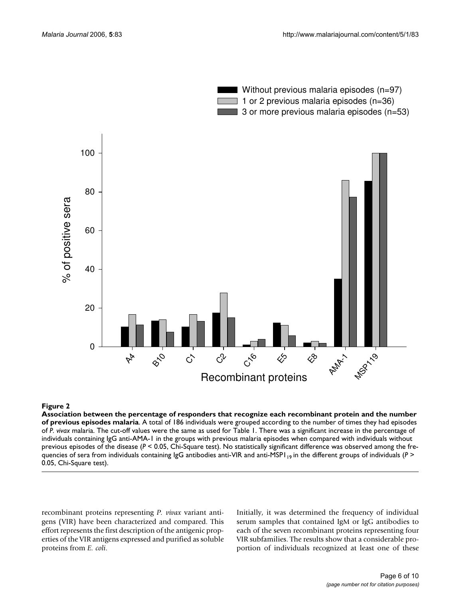

### Association between the percent sodes malaria **Figure 2** age of responders that recognize each recombinant protein and the number of previous epi-

**Association between the percentage of responders that recognize each recombinant protein and the number of previous episodes malaria**. A total of 186 individuals were grouped according to the number of times they had episodes of *P. vivax* malaria. The cut-off values were the same as used for Table 1. There was a significant increase in the percentage of individuals containing IgG anti-AMA-1 in the groups with previous malaria episodes when compared with individuals without previous episodes of the disease (*P* < 0.05, Chi-Square test). No statistically significant difference was observed among the frequencies of sera from individuals containing IgG antibodies anti-VIR and anti-MSP1 <sub>19</sub> in the different groups of individuals (*P* > 0.05, Chi-Square test).

recombinant proteins representing *P. vivax* variant antigens (VIR) have been characterized and compared. This effort represents the first description of the antigenic properties of the VIR antigens expressed and purified as soluble proteins from *E. coli*.

Initially, it was determined the frequency of individual serum samples that contained IgM or IgG antibodies to each of the seven recombinant proteins representing four VIR subfamilies. The results show that a considerable proportion of individuals recognized at least one of these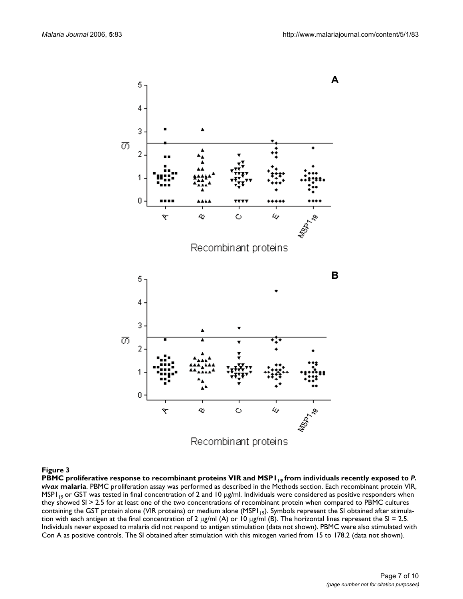

## PBMC proliferative response to recombinant proteins VIR and MSP119 **Figure 3** from individuals recently exposed to *P. vivax*

PBMC proliferative response to recombinant proteins VIR and MSP I <sub>19</sub> from individuals recently exposed to *P*. *vivax* **malaria**. PBMC proliferation assay was performed as described in the Methods section. Each recombinant protein VIR, MSP1<sub>19</sub> or GST was tested in final concentration of 2 and 10  $\mu$ g/ml. Individuals were considered as positive responders when they showed SI > 2.5 for at least one of the two concentrations of recombinant protein when compared to PBMC cultures containing the GST protein alone (VIR proteins) or medium alone (MSPI<sub>19</sub>). Symbols represent the SI obtained after stimulation with each antigen at the final concentration of 2  $\mu$ g/ml (A) or 10  $\mu$ g/ml (B). The horizontal lines represent the SI = 2.5. Individuals never exposed to malaria did not respond to antigen stimulation (data not shown). PBMC were also stimulated with Con A as positive controls. The SI obtained after stimulation with this mitogen varied from 15 to 178.2 (data not shown).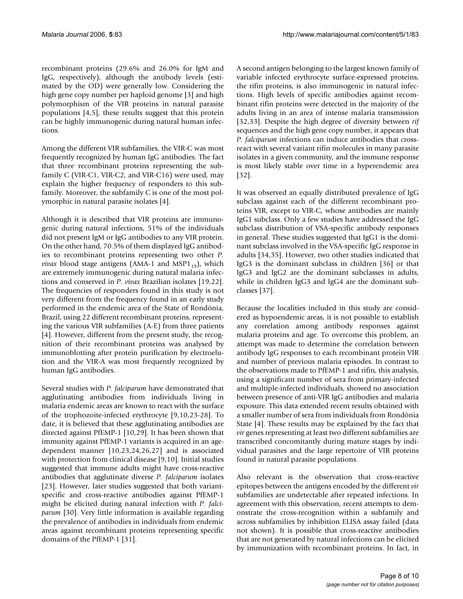recombinant proteins (29.6% and 26.0% for IgM and IgG, respectively), although the antibody levels (estimated by the OD) were generally low. Considering the high gene copy number per haploid genome [3] and high polymorphism of the VIR proteins in natural parasite populations [4,5], these results suggest that this protein can be highly immunogenic during natural human infections.

Among the different VIR subfamilies, the VIR-C was most frequently recognized by human IgG antibodies. The fact that three recombinant proteins representing the subfamily C (VIR-C1, VIR-C2, and VIR-C16) were used, may explain the higher frequency of responders to this subfamily. Moreover, the subfamily C is one of the most polymorphic in natural parasite isolates [4].

Although it is described that VIR proteins are immunogenic during natural infections, 51% of the individuals did not present IgM or IgG antibodies to any VIR protein. On the other hand, 70.5% of them displayed IgG antibodies to recombinant proteins representing two other *P. vivax* blood stage antigens (AMA-1 and MSP1 $_{19}$ ), which are extremely immunogenic during natural malaria infections and conserved in *P. vivax* Brazilian isolates [19[,22](#page-9-1)]. The frequencies of responders found in this study is not very different from the frequency found in an early study performed in the endemic area of the State of Rondônia, Brazil, using 22 different recombinant proteins, representing the various VIR subfamilies (A-E) from three patients [4]. However, different from the present study, the recognition of their recombinant proteins was analysed by immunoblotting after protein purification by electroelution and the VIR-A was most frequently recognized by human IgG antibodies.

Several studies with *P. falciparum* have demonstrated that agglutinating antibodies from individuals living in malaria endemic areas are known to react with the surface of the trophozoite-infected erythrocyte [9,10,23-28]. To date, it is believed that these agglutinating antibodies are directed against PfEMP-1 [10[,29\]](#page-9-2). It has been shown that immunity against PfEMP-1 variants is acquired in an agedependent manner [10,23,[24](#page-9-3),26,27] and is associated with protection from clinical disease [9,10]. Initial studies suggested that immune adults might have cross-reactive antibodies that agglutinate diverse *P. falciparum* isolates [23]. However, later studies suggested that both variantspecific and cross-reactive antibodies against PfEMP-1 might be elicited during natural infection with *P. falciparum* [30]. Very little information is available regarding the prevalence of antibodies in individuals from endemic areas against recombinant proteins representing specific domains of the PfEMP-1 [31].

A second antigen belonging to the largest known family of variable infected erythrocyte surface-expressed proteins, the rifin proteins, is also immunogenic in natural infections. High levels of specific antibodies against recombinant rifin proteins were detected in the majority of the adults living in an area of intense malaria transmission [32,[33\]](#page-9-4). Despite the high degree of diversity between *rif* sequences and the high gene copy number, it appears that *P. falciparum* infections can induce antibodies that crossreact with several variant rifin molecules in many parasite isolates in a given community, and the immune response is most likely stable over time in a hyperendemic area [32].

It was observed an equally distributed prevalence of IgG subclass against each of the different recombinant proteins VIR, except to VIR-C, whose antibodies are mainly IgG1 subclass. Only a few studies have addressed the IgG subclass distribution of VSA-specific antibody responses in general. These studies suggested that IgG1 is the dominant subclass involved in the VSA-specific IgG response in adults [34,35]. However, two other studies indicated that IgG3 is the dominant subclass in children [36] or that IgG3 and IgG2 are the dominant subclasses in adults, while in children IgG3 and IgG4 are the dominant subclasses [37].

Because the localities included in this study are considered as hypoendemic areas, it is not possible to establish any correlation among antibody responses against malaria proteins and age. To overcome this problem, an attempt was made to determine the correlation between antibody IgG responses to each recombinant protein VIR and number of previous malaria episodes. In contrast to the observations made to PfEMP-1 and rifin, this analysis, using a significant number of sera from primary-infected and multiple-infected individuals, showed no association between presence of anti-VIR IgG antibodies and malaria exposure. This data extended recent results obtained with a smaller number of sera from individuals from Rondônia State [4]. These results may be explained by the fact that *vir* genes representing at least two different subfamilies are transcribed concomitantly during mature stages by individual parasites and the large repertoire of VIR proteins found in natural parasite populations.

Also relevant is the observation that cross-reactive epitopes between the antigens encoded by the different *vir* subfamilies are undetectable after repeated infections. In agreement with this observation, recent attempts to demonstrate the cross-recognition within a subfamily and across subfamilies by inhibition ELISA assay failed (data not shown). It is possible that cross-reactive antibodies that are not generated by natural infections can be elicited by immunization with recombinant proteins. In fact, in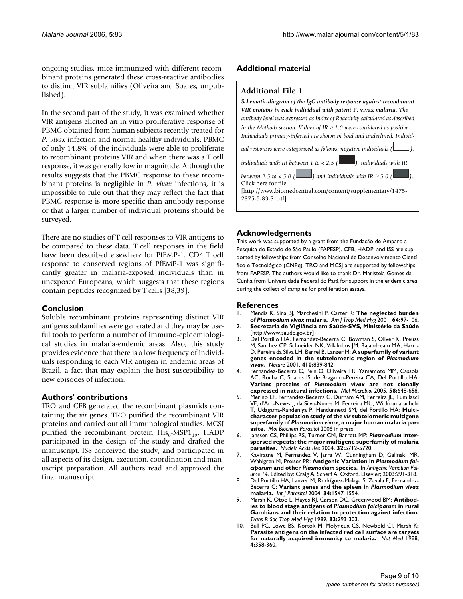ongoing studies, mice immunized with different recombinant proteins generated these cross-reactive antibodies to distinct VIR subfamilies (Oliveira and Soares, unpublished).

In the second part of the study, it was examined whether VIR antigens elicited an in vitro proliferative response of PBMC obtained from human subjects recently treated for *P. vivax* infection and normal healthy individuals. PBMC of only 14.8% of the individuals were able to proliferate to recombinant proteins VIR and when there was a T cell response, it was generally low in magnitude. Although the results suggests that the PBMC response to these recombinant proteins is negligible in *P. vivax* infections, it is impossible to rule out that they may reflect the fact that PBMC response is more specific than antibody response or that a larger number of individual proteins should be surveyed.

There are no studies of T cell responses to VIR antigens to be compared to these data. T cell responses in the field have been described elsewhere for PfEMP-1. CD4 T cell response to conserved regions of PfEMP-1 was significantly greater in malaria-exposed individuals than in unexposed Europeans, which suggests that these regions contain peptides recognized by T cells [38,39].

#### **Conclusion**

Soluble recombinant proteins representing distinct VIR antigens subfamilies were generated and they may be useful tools to perform a number of immuno-epidemiological studies in malaria-endemic areas. Also, this study provides evidence that there is a low frequency of individuals responding to each VIR antigen in endemic areas of Brazil, a fact that may explain the host susceptibility to new episodes of infection.

#### **Authors' contributions**

TRO and CFB generated the recombinant plasmids containing the *vir* genes. TRO purified the recombinant VIR proteins and carried out all immunological studies. MCSJ purified the recombinant protein  $His<sub>6</sub>$ -MSP1<sub>19</sub>. HADP participated in the design of the study and drafted the manuscript. ISS conceived the study, and participated in all aspects of its design, execution, coordination and manuscript preparation. All authors read and approved the final manuscript.

#### **Additional material**

#### **Additional File 1**

*Schematic diagram of the IgG antibody response against recombinant VIR proteins in each individual with patent* **P. vivax** *malaria. The antibody level was expressed as Index of Reactivity calculated as described in the Methods section. Values of IR*  $\geq$  *1.0 were considered as positive. Individuals primary-infected are shown in bold and underlined. Individual responses were categorized as follows: negative individuals ( ), individuals with IR between 1 to < 2.5 (* $\Box$ *), individuals with IR between 2.5 to < 5.0 ()* and individuals with IR  $\geq$  5.0 ( Click here for file [\[http://www.biomedcentral.com/content/supplementary/1475-](http://www.biomedcentral.com/content/supplementary/1475-2875-5-83-S1.rtf) 2875-5-83-S1.rtf]

#### **Acknowledgements**

This work was supported by a grant from the Fundação de Amparo a Pesquisa do Estado de São Paulo (FAPESP). CFB, HADP, and ISS are supported by fellowships from Conselho Nacional de Desenvolvimento Científico e Tecnológico (CNPq). TRO and MCSJ are supported by fellowships from FAPESP. The authors would like to thank Dr. Maristela Gomes da Cunha from Universidade Federal do Pará for support in the endemic area during the collect of samples for proliferation assays.

#### **References**

- <span id="page-8-0"></span>1. Mendis K, Sina BJ, Marchesini P, Carter R: **The neglected burden of** *Plasmodium vivax* **[malaria.](http://www.ncbi.nlm.nih.gov/entrez/query.fcgi?cmd=Retrieve&db=PubMed&dopt=Abstract&list_uids=11425182)** *Am J Trop Med Hyg* 2001, **64:**97-106.
- 2. **Secretaria de Vigilância em Saúde-SVS, Ministério da Saúde** [[http://www.saude.gov.br\]](http://www.saude.gov.br)
- 3. Del Portillo HA, Fernandez-Becerra C, Bowman S, Oliver K, Preuss M, Sanchez CP, Schneider NK, Villalobos JM, Rajandream MA, Harris D, Pereira da Silva LH, Barrel B, Lanzer M: **A superfamily of variant genes encoded in the subtelomeric region of** *Plasmodium vivax***[.](http://www.ncbi.nlm.nih.gov/entrez/query.fcgi?cmd=Retrieve&db=PubMed&dopt=Abstract&list_uids=11298455)** *Nature* 2001, **410:**839-842.
- 4. Fernandez-Becerra C, Pein O, Oliveira TR, Yamamoto MM, Cassola AC, Rocha C, Soares IS, de Bragança-Pereira CA, Del Portillo HA: **Variant proteins of** *Plasmodium vivax* **[are not clonally](http://www.ncbi.nlm.nih.gov/entrez/query.fcgi?cmd=Retrieve&db=PubMed&dopt=Abstract&list_uids=16238616) [expressed in natural infections.](http://www.ncbi.nlm.nih.gov/entrez/query.fcgi?cmd=Retrieve&db=PubMed&dopt=Abstract&list_uids=16238616)** *Mol Microbiol* 2005, **58:**648-658.
- 5. Merino EF, Fernandez-Becerra C, Durham AM, Ferreira JE, Tumilasci VF, d'Arc-Neves J, da Silva-Nunes M, Ferreira MU, Wickramarachchi T, Udagama-Randeniya P, Handunnetti SM, del Portillo HA: **Multicharacter population study of the** *vir* **subtelomeric multigene superfamily of** *Plasmodium vivax***, a major human malaria parasite.** *Mol Biochem Parasitol* 2006 in press.
- 6. Janssen CS, Phillips RS, Turner CM, Barrett MP: *Plasmodium* **[inter](http://www.ncbi.nlm.nih.gov/entrez/query.fcgi?cmd=Retrieve&db=PubMed&dopt=Abstract&list_uids=15507685)[spersed repeats: the major multigene superfamily of malaria](http://www.ncbi.nlm.nih.gov/entrez/query.fcgi?cmd=Retrieve&db=PubMed&dopt=Abstract&list_uids=15507685) [parasites.](http://www.ncbi.nlm.nih.gov/entrez/query.fcgi?cmd=Retrieve&db=PubMed&dopt=Abstract&list_uids=15507685)** *Nucleic Acids Res* 2004, **32:**5712-5720.
- 7. Kaviratne M, Fernandez V, Jarra W, Cunningham D, Galinski MR, Wahlgren M, Preiser PR: **Antigenic Variation in** *Plasmodium falciparum* **and other** *Plasmodium* **species.** In *Antigenic Variation Volume 14*. Edited by: Craig A, Scherf A. Oxford, Elsevier; 2003:291-318.
- 8. Del Portillo HA, Lanzer M, Rodríguez-Malaga S, Zavala F, Fernandez-Becerra C: **Variant genes and the spleen in** *Plasmodium vivax* **[malaria.](http://www.ncbi.nlm.nih.gov/entrez/query.fcgi?cmd=Retrieve&db=PubMed&dopt=Abstract&list_uids=15582531)** *Int J Parasitol* 2004, **34:**1547-1554.
- 9. Marsh K, Otoo L, Hayes RJ, Carson DC, Greenwood BM: **Antibodies to blood stage antigens of** *Plasmodium falciparum* **[in rural](http://www.ncbi.nlm.nih.gov/entrez/query.fcgi?cmd=Retrieve&db=PubMed&dopt=Abstract&list_uids=2694458) [Gambians and their relation to protection against infection.](http://www.ncbi.nlm.nih.gov/entrez/query.fcgi?cmd=Retrieve&db=PubMed&dopt=Abstract&list_uids=2694458)** *Trans R Soc Trop Med Hyg* 1989, **83:**293-303.
- 10. Bull PC, Lowe BS, Kortok M, Molyneux CS, Newbold CI, Marsh K: **[Parasite antigens on the infected red cell surface are targets](http://www.ncbi.nlm.nih.gov/entrez/query.fcgi?cmd=Retrieve&db=PubMed&dopt=Abstract&list_uids=9500614) [for naturally acquired immunity to malaria.](http://www.ncbi.nlm.nih.gov/entrez/query.fcgi?cmd=Retrieve&db=PubMed&dopt=Abstract&list_uids=9500614)** *Nat Med* 1998, **4:**358-360.